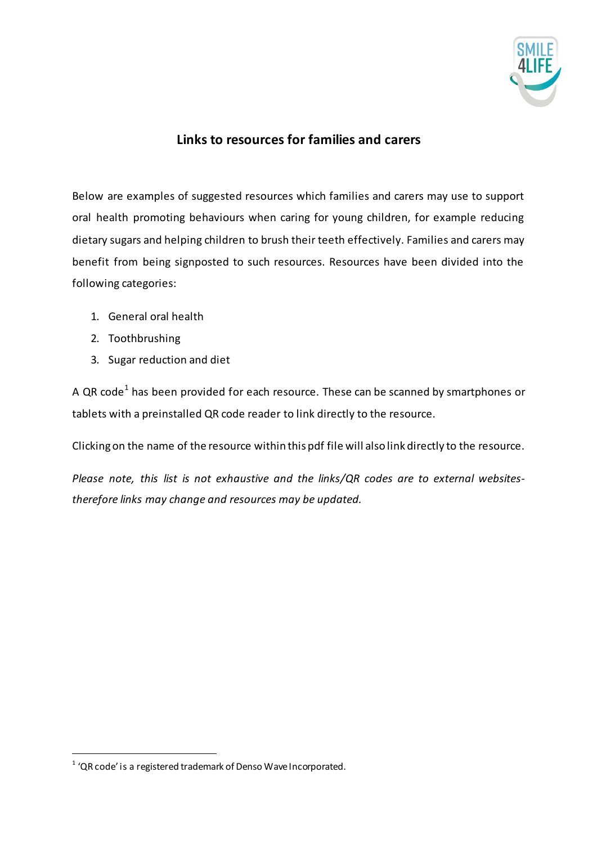

## **Links to resources for families and carers**

Below are examples of suggested resources which families and carers may use to support oral health promoting behaviours when caring for young children, for example reducing dietary sugars and helping children to brush their teeth effectively. Families and carers may benefit from being signposted to such resources. Resources have been divided into the following categories:

- 1. General oral health
- 2. Toothbrushing
- 3. Sugar reduction and diet

A QR code<sup>1</sup> has been provided for each resource. These can be scanned by smartphones or tablets with a preinstalled QR code reader to link directly to the resource.

Clicking on the name of the resource within this pdf file will also link directly to the resource.

*Please note, this list is not exhaustive and the links/QR codes are to external websitestherefore links may change and resources may be updated.* 

 $1$  'QR code' is a registered trademark of Denso Wave Incorporated.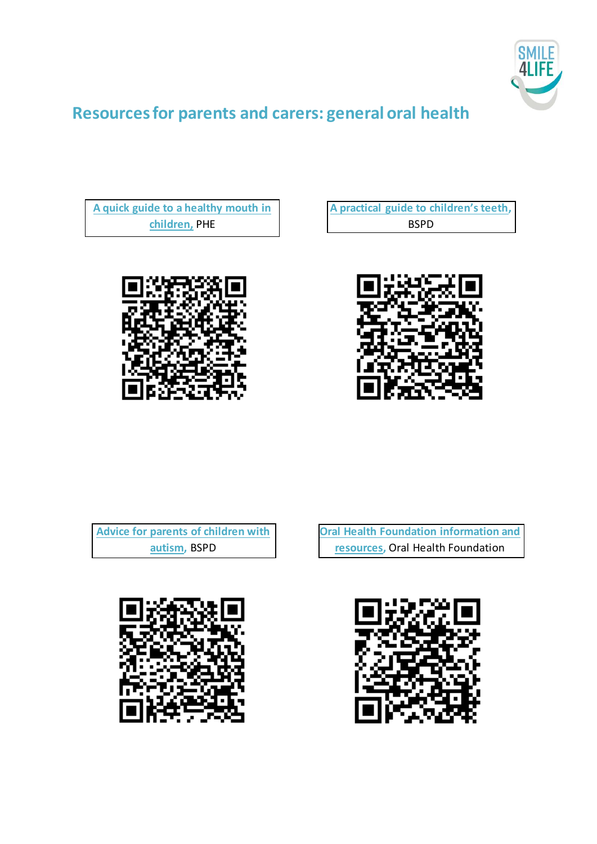

## **Resources for parents and carers: general oral health**

**[A quick guide to a healthy mouth in](https://www.gov.uk/government/publications/delivering-better-oral-health-an-evidence-based-toolkit-for-prevention)  children,** PHE

**[A practical guide to children's teeth](https://www.bspd.co.uk/Portals/0/A%20practical%20guide%20to%20children),** BSPD





**[Advice for parents of children with](https://www.bspd.co.uk/Portals/0/BSPD%20Advice%20for%20parents%20of%20children%20with%20autism%20Jan%2017.pdf)  autism,** BSPD



**[Oral Health Foundation information and](https://www.dentalhealth.org/Pages/Category/all-oral-health-information)  resources,** Oral Health Foundation

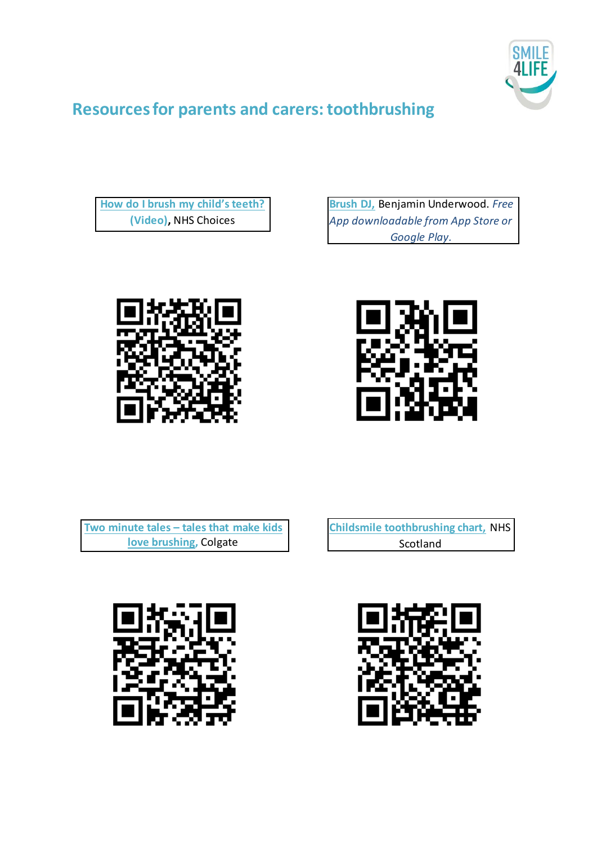

## **Resources for parents and carers: toothbrushing**

**[How do I brush my child's teeth?](https://www.nhs.uk/video/pages/how-do-i-brush-my-childs-teeth.aspx) (Video),** NHS Choices

**Brush DJ,** Benjamin Underwood. *Free [App downloadable from App Store or](http://www.brushdj.com)  Google Play.*





**Two minute tales – [tales that make kids](http://colgatetwominutetales.co.uk/)  love brushing,** Colgate

**[Childsmile toothbrushing chart,](http://www.child-smile.org.uk/documents/4352.aspx)** NHS Scotland